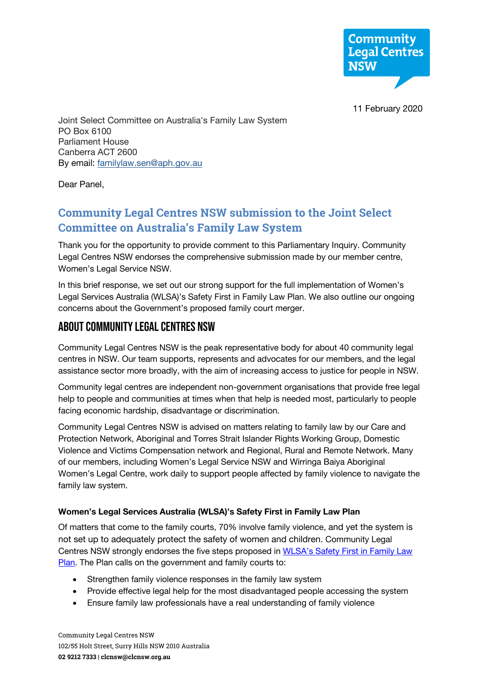

11 February 2020

Joint Select Committee on Australia's Family Law System PO Box 6100 Parliament House Canberra ACT 2600 By email: familylaw.sen@aph.gov.au

Dear Panel,

# **Community Legal Centres NSW submission to the Joint Select Committee on Australia's Family Law System**

Thank you for the opportunity to provide comment to this Parliamentary Inquiry. Community Legal Centres NSW endorses the comprehensive submission made by our member centre, Women's Legal Service NSW.

In this brief response, we set out our strong support for the full implementation of Women's Legal Services Australia (WLSA)'s Safety First in Family Law Plan. We also outline our ongoing concerns about the Government's proposed family court merger.

### About Community Legal Centres NSW

Community Legal Centres NSW is the peak representative body for about 40 community legal centres in NSW. Our team supports, represents and advocates for our members, and the legal assistance sector more broadly, with the aim of increasing access to justice for people in NSW.

Community legal centres are independent non-government organisations that provide free legal help to people and communities at times when that help is needed most, particularly to people facing economic hardship, disadvantage or discrimination.

Community Legal Centres NSW is advised on matters relating to family law by our Care and Protection Network, Aboriginal and Torres Strait Islander Rights Working Group, Domestic Violence and Victims Compensation network and Regional, Rural and Remote Network. Many of our members, including Women's Legal Service NSW and Wirringa Baiya Aboriginal Women's Legal Centre, work daily to support people affected by family violence to navigate the family law system.

#### **Women's Legal Services Australia (WLSA)'s Safety First in Family Law Plan**

Of matters that come to the family courts, 70% involve family violence, and yet the system is not set up to adequately protect the safety of women and children. Community Legal Centres NSW strongly endorses the five steps proposed in WLSA's Safety First in Family Law Plan. The Plan calls on the government and family courts to:

- Strengthen family violence responses in the family law system
- Provide effective legal help for the most disadvantaged people accessing the system
- Ensure family law professionals have a real understanding of family violence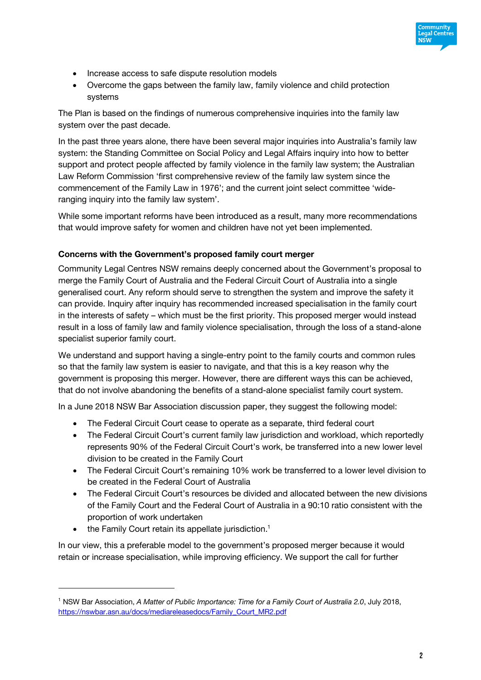

- Increase access to safe dispute resolution models
- Overcome the gaps between the family law, family violence and child protection systems

The Plan is based on the findings of numerous comprehensive inquiries into the family law system over the past decade.

In the past three years alone, there have been several major inquiries into Australia's family law system: the Standing Committee on Social Policy and Legal Affairs inquiry into how to better support and protect people affected by family violence in the family law system; the Australian Law Reform Commission 'first comprehensive review of the family law system since the commencement of the Family Law in 1976'; and the current joint select committee 'wideranging inquiry into the family law system'.

While some important reforms have been introduced as a result, many more recommendations that would improve safety for women and children have not yet been implemented.

#### **Concerns with the Government's proposed family court merger**

Community Legal Centres NSW remains deeply concerned about the Government's proposal to merge the Family Court of Australia and the Federal Circuit Court of Australia into a single generalised court. Any reform should serve to strengthen the system and improve the safety it can provide. Inquiry after inquiry has recommended increased specialisation in the family court in the interests of safety – which must be the first priority. This proposed merger would instead result in a loss of family law and family violence specialisation, through the loss of a stand-alone specialist superior family court.

We understand and support having a single-entry point to the family courts and common rules so that the family law system is easier to navigate, and that this is a key reason why the government is proposing this merger. However, there are different ways this can be achieved, that do not involve abandoning the benefits of a stand-alone specialist family court system.

In a June 2018 NSW Bar Association discussion paper, they suggest the following model:

- The Federal Circuit Court cease to operate as a separate, third federal court
- The Federal Circuit Court's current family law jurisdiction and workload, which reportedly represents 90% of the Federal Circuit Court's work, be transferred into a new lower level division to be created in the Family Court
- The Federal Circuit Court's remaining 10% work be transferred to a lower level division to be created in the Federal Court of Australia
- The Federal Circuit Court's resources be divided and allocated between the new divisions of the Family Court and the Federal Court of Australia in a 90:10 ratio consistent with the proportion of work undertaken
- the Family Court retain its appellate jurisdiction.<sup>1</sup>

In our view, this a preferable model to the government's proposed merger because it would retain or increase specialisation, while improving efficiency. We support the call for further

<sup>1</sup> NSW Bar Association, *A Matter of Public Importance: Time for a Family Court of Australia 2.0*, July 2018, https://nswbar.asn.au/docs/mediareleasedocs/Family\_Court\_MR2.pdf